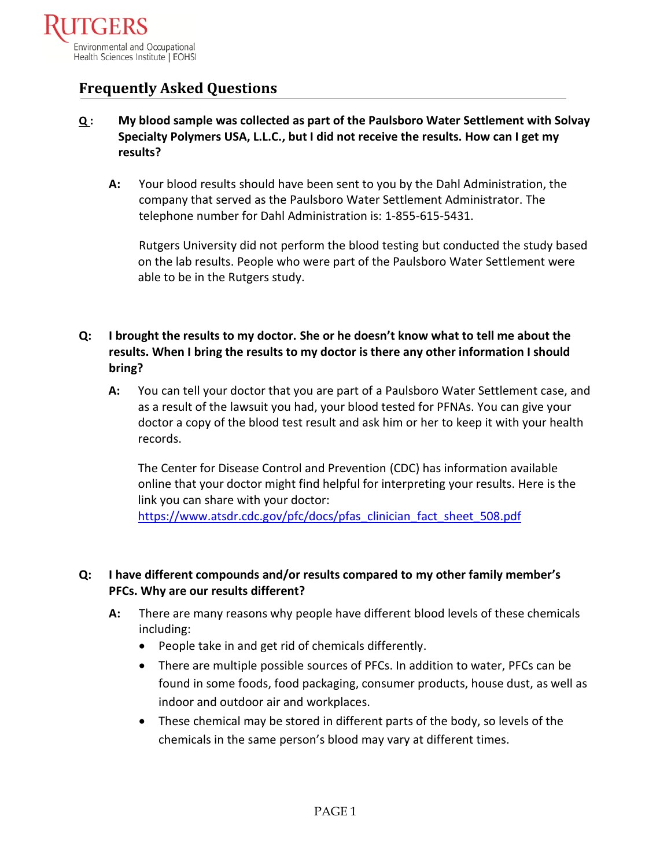

# **Frequently Asked Questions**

- **Q : My blood sample was collected as part of the Paulsboro Water Settlement with Solvay Specialty Polymers USA, L.L.C., but I did not receive the results. How can I get my results?** 
	- **A:** Your blood results should have been sent to you by the Dahl Administration, the company that served as the Paulsboro Water Settlement Administrator. The telephone number for Dahl Administration is: 1-855-615-5431.

Rutgers University did not perform the blood testing but conducted the study based on the lab results. People who were part of the Paulsboro Water Settlement were able to be in the Rutgers study.

## **Q: I brought the results to my doctor. She or he doesn't know what to tell me about the results. When I bring the results to my doctor is there any other information I should bring?**

**A:** You can tell your doctor that you are part of a Paulsboro Water Settlement case, and as a result of the lawsuit you had, your blood tested for PFNAs. You can give your doctor a copy of the blood test result and ask him or her to keep it with your health records.

The Center for Disease Control and Prevention (CDC) has information available online that your doctor might find helpful for interpreting your results. Here is the link you can share with your doctor:

[https://www.atsdr.cdc.gov/pfc/docs/pfas\\_clinician\\_fact\\_sheet\\_508.pdf](https://www.atsdr.cdc.gov/pfc/docs/pfas_clinician_fact_sheet_508.pdf)

## **Q: I have different compounds and/or results compared to my other family member's PFCs. Why are our results different?**

- **A:** There are many reasons why people have different blood levels of these chemicals including:
	- People take in and get rid of chemicals differently.
	- There are multiple possible sources of PFCs. In addition to water, PFCs can be found in some foods, food packaging, consumer products, house dust, as well as indoor and outdoor air and workplaces.
	- These chemical may be stored in different parts of the body, so levels of the chemicals in the same person's blood may vary at different times.